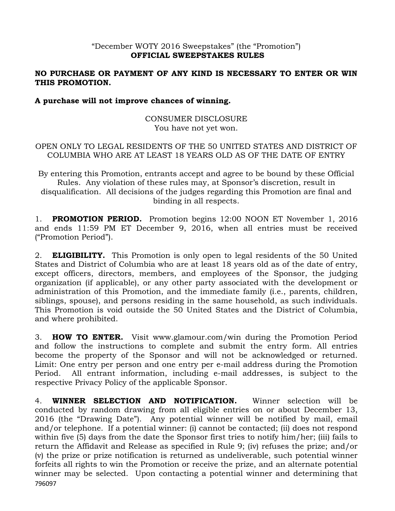## "December WOTY 2016 Sweepstakes" (the "Promotion") **OFFICIAL SWEEPSTAKES RULES**

## **NO PURCHASE OR PAYMENT OF ANY KIND IS NECESSARY TO ENTER OR WIN THIS PROMOTION.**

## **A purchase will not improve chances of winning.**

CONSUMER DISCLOSURE You have not yet won.

OPEN ONLY TO LEGAL RESIDENTS OF THE 50 UNITED STATES AND DISTRICT OF COLUMBIA WHO ARE AT LEAST 18 YEARS OLD AS OF THE DATE OF ENTRY

By entering this Promotion, entrants accept and agree to be bound by these Official Rules. Any violation of these rules may, at Sponsor's discretion, result in disqualification. All decisions of the judges regarding this Promotion are final and binding in all respects.

1. **PROMOTION PERIOD.** Promotion begins 12:00 NOON ET November 1, 2016 and ends 11:59 PM ET December 9, 2016, when all entries must be received ("Promotion Period").

2. **ELIGIBILITY.** This Promotion is only open to legal residents of the 50 United States and District of Columbia who are at least 18 years old as of the date of entry, except officers, directors, members, and employees of the Sponsor, the judging organization (if applicable), or any other party associated with the development or administration of this Promotion, and the immediate family (i.e., parents, children, siblings, spouse), and persons residing in the same household, as such individuals. This Promotion is void outside the 50 United States and the District of Columbia, and where prohibited.

3. **HOW TO ENTER.** Visit www.glamour.com/win during the Promotion Period and follow the instructions to complete and submit the entry form. All entries become the property of the Sponsor and will not be acknowledged or returned. Limit: One entry per person and one entry per e-mail address during the Promotion Period. All entrant information, including e-mail addresses, is subject to the respective Privacy Policy of the applicable Sponsor.

796097 4. **WINNER SELECTION AND NOTIFICATION.** Winner selection will be conducted by random drawing from all eligible entries on or about December 13, 2016 (the "Drawing Date"). Any potential winner will be notified by mail, email and/or telephone*.* If a potential winner: (i) cannot be contacted; (ii) does not respond within five (5) days from the date the Sponsor first tries to notify him/her; (iii) fails to return the Affidavit and Release as specified in Rule 9; (iv) refuses the prize; and/or (v) the prize or prize notification is returned as undeliverable, such potential winner forfeits all rights to win the Promotion or receive the prize, and an alternate potential winner may be selected. Upon contacting a potential winner and determining that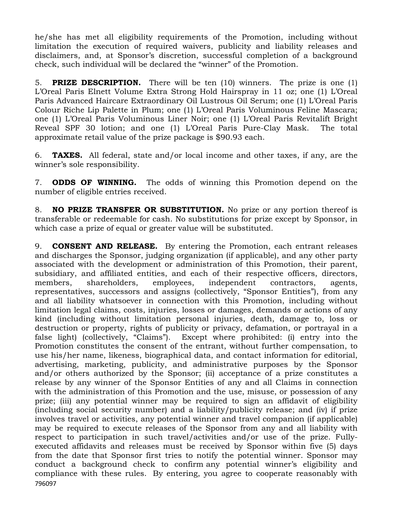he/she has met all eligibility requirements of the Promotion, including without limitation the execution of required waivers, publicity and liability releases and disclaimers, and, at Sponsor's discretion, successful completion of a background check, such individual will be declared the "winner" of the Promotion.

5. **PRIZE DESCRIPTION.** There will be ten (10) winners. The prize is one (1) L'Oreal Paris Elnett Volume Extra Strong Hold Hairspray in 11 oz; one (1) L'Oreal Paris Advanced Haircare Extraordinary Oil Lustrous Oil Serum; one (1) L'Oreal Paris Colour Riche Lip Palette in Plum; one (1) L'Oreal Paris Voluminous Feline Mascara; one (1) L'Oreal Paris Voluminous Liner Noir; one (1) L'Oreal Paris Revitalift Bright Reveal SPF 30 lotion; and one (1) L'Oreal Paris Pure-Clay Mask. The total approximate retail value of the prize package is \$90.93 each.

6. **TAXES.** All federal, state and/or local income and other taxes, if any, are the winner's sole responsibility.

7. **ODDS OF WINNING.** The odds of winning this Promotion depend on the number of eligible entries received.

8. **NO PRIZE TRANSFER OR SUBSTITUTION.** No prize or any portion thereof is transferable or redeemable for cash. No substitutions for prize except by Sponsor, in which case a prize of equal or greater value will be substituted.

796097 9. **CONSENT AND RELEASE.** By entering the Promotion, each entrant releases and discharges the Sponsor, judging organization (if applicable), and any other party associated with the development or administration of this Promotion, their parent, subsidiary, and affiliated entities, and each of their respective officers, directors, members, shareholders, employees, independent contractors, agents, representatives, successors and assigns (collectively, "Sponsor Entities"), from any and all liability whatsoever in connection with this Promotion, including without limitation legal claims, costs, injuries, losses or damages, demands or actions of any kind (including without limitation personal injuries, death, damage to, loss or destruction or property, rights of publicity or privacy, defamation, or portrayal in a false light) (collectively, "Claims"). Except where prohibited: (i) entry into the Promotion constitutes the consent of the entrant, without further compensation, to use his/her name, likeness, biographical data, and contact information for editorial, advertising, marketing, publicity, and administrative purposes by the Sponsor and/or others authorized by the Sponsor; (ii) acceptance of a prize constitutes a release by any winner of the Sponsor Entities of any and all Claims in connection with the administration of this Promotion and the use, misuse, or possession of any prize; (iii) any potential winner may be required to sign an affidavit of eligibility (including social security number) and a liability/publicity release; and (iv) if prize involves travel or activities, any potential winner and travel companion (if applicable) may be required to execute releases of the Sponsor from any and all liability with respect to participation in such travel/activities and/or use of the prize. Fullyexecuted affidavits and releases must be received by Sponsor within five (5) days from the date that Sponsor first tries to notify the potential winner. Sponsor may conduct a background check to confirm any potential winner's eligibility and compliance with these rules. By entering, you agree to cooperate reasonably with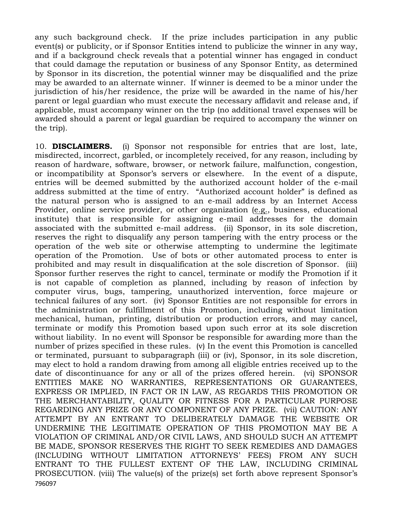any such background check. If the prize includes participation in any public event(s) or publicity, or if Sponsor Entities intend to publicize the winner in any way, and if a background check reveals that a potential winner has engaged in conduct that could damage the reputation or business of any Sponsor Entity, as determined by Sponsor in its discretion, the potential winner may be disqualified and the prize may be awarded to an alternate winner. If winner is deemed to be a minor under the jurisdiction of his/her residence, the prize will be awarded in the name of his/her parent or legal guardian who must execute the necessary affidavit and release and, if applicable, must accompany winner on the trip (no additional travel expenses will be awarded should a parent or legal guardian be required to accompany the winner on the trip)*.*

796097 10. **DISCLAIMERS.** (i) Sponsor not responsible for entries that are lost, late, misdirected, incorrect, garbled, or incompletely received, for any reason, including by reason of hardware, software, browser, or network failure, malfunction, congestion, or incompatibility at Sponsor's servers or elsewhere. In the event of a dispute, entries will be deemed submitted by the authorized account holder of the e-mail address submitted at the time of entry. "Authorized account holder" is defined as the natural person who is assigned to an e-mail address by an Internet Access Provider, online service provider, or other organization (e.g., business, educational institute) that is responsible for assigning e-mail addresses for the domain associated with the submitted e-mail address. (ii) Sponsor, in its sole discretion, reserves the right to disqualify any person tampering with the entry process or the operation of the web site or otherwise attempting to undermine the legitimate operation of the Promotion. Use of bots or other automated process to enter is prohibited and may result in disqualification at the sole discretion of Sponsor. (iii) Sponsor further reserves the right to cancel, terminate or modify the Promotion if it is not capable of completion as planned, including by reason of infection by computer virus, bugs, tampering, unauthorized intervention, force majeure or technical failures of any sort. (iv) Sponsor Entities are not responsible for errors in the administration or fulfillment of this Promotion, including without limitation mechanical, human, printing, distribution or production errors, and may cancel, terminate or modify this Promotion based upon such error at its sole discretion without liability. In no event will Sponsor be responsible for awarding more than the number of prizes specified in these rules. (v) In the event this Promotion is cancelled or terminated, pursuant to subparagraph (iii) or (iv), Sponsor, in its sole discretion, may elect to hold a random drawing from among all eligible entries received up to the date of discontinuance for any or all of the prizes offered herein. (vi) SPONSOR ENTITIES MAKE NO WARRANTIES, REPRESENTATIONS OR GUARANTEES, EXPRESS OR IMPLIED, IN FACT OR IN LAW, AS REGARDS THIS PROMOTION OR THE MERCHANTABILITY, QUALITY OR FITNESS FOR A PARTICULAR PURPOSE REGARDING ANY PRIZE OR ANY COMPONENT OF ANY PRIZE. (vii) CAUTION: ANY ATTEMPT BY AN ENTRANT TO DELIBERATELY DAMAGE THE WEBSITE OR UNDERMINE THE LEGITIMATE OPERATION OF THIS PROMOTION MAY BE A VIOLATION OF CRIMINAL AND/OR CIVIL LAWS, AND SHOULD SUCH AN ATTEMPT BE MADE, SPONSOR RESERVES THE RIGHT TO SEEK REMEDIES AND DAMAGES (INCLUDING WITHOUT LIMITATION ATTORNEYS' FEES) FROM ANY SUCH ENTRANT TO THE FULLEST EXTENT OF THE LAW, INCLUDING CRIMINAL PROSECUTION. (viii) The value(s) of the prize(s) set forth above represent Sponsor's